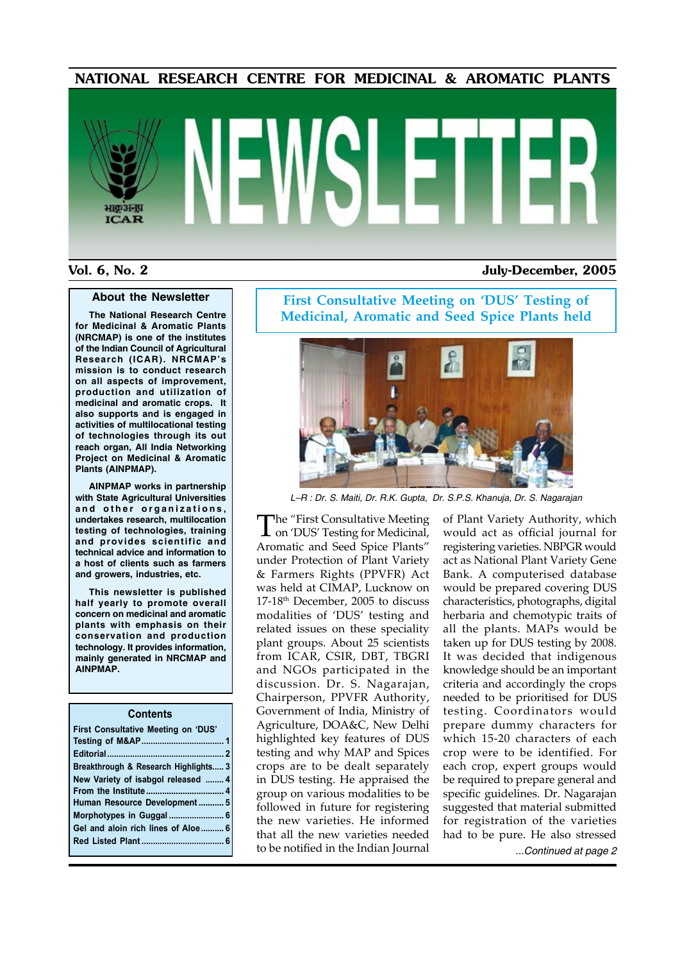#### NATIONAL RESEARCH CENTRE FOR MEDICINAL & AROMATIC PLANTS

# भाकुअनुप **ICAR**

#### Vol. 6, No. 2 July-December, 2005

#### **About the Newsletter**

**The National Research Centre for Medicinal & Aromatic Plants (NRCMAP) is one of the institutes of the Indian Council of Agricultural Research (ICAR). NRCMAP's mission is to conduct research on all aspects of improvement, production and utilization of medicinal and aromatic crops. It also supports and is engaged in activities of multilocational testing of technologies through its out reach organ, All India Networking Project on Medicinal & Aromatic Plants (AINPMAP).**

**AINPMAP works in partnership with State Agricultural Universities**  and other organizations, **undertakes research, multilocation testing of technologies, training and provides scientific and technical advice and information to a host of clients such as farmers and growers, industries, etc.**

**This newsletter is published half yearly to promote overall concern on medicinal and aromatic plants with emphasis on their conservation and production technology. It provides information, mainly generated in NRCMAP and AINPMAP.**

#### **Contents**

| First Consultative Meeting on 'DUS'  |  |
|--------------------------------------|--|
|                                      |  |
|                                      |  |
| Breakthrough & Research Highlights 3 |  |
| New Variety of isabgol released  4   |  |
|                                      |  |
| Human Resource Development 5         |  |
|                                      |  |
| Gel and aloin rich lines of Aloe 6   |  |
|                                      |  |
|                                      |  |

**First Consultative Meeting on 'DUS' Testing of Medicinal, Aromatic and Seed Spice Plants held**



*L–R : Dr. S. Maiti, Dr. R.K. Gupta, Dr. S.P.S. Khanuja, Dr. S. Nagarajan*

The "First Consultative Meeting on 'DUS' Testing for Medicinal, Aromatic and Seed Spice Plants" under Protection of Plant Variety & Farmers Rights (PPVFR) Act was held at CIMAP, Lucknow on 17-18th December, 2005 to discuss modalities of 'DUS' testing and related issues on these speciality plant groups. About 25 scientists from ICAR, CSIR, DBT, TBGRI and NGOs participated in the discussion. Dr. S. Nagarajan, Chairperson, PPVFR Authority, Government of India, Ministry of Agriculture, DOA&C, New Delhi highlighted key features of DUS testing and why MAP and Spices crops are to be dealt separately in DUS testing. He appraised the group on various modalities to be followed in future for registering the new varieties. He informed that all the new varieties needed to be notified in the Indian Journal

of Plant Variety Authority, which would act as official journal for registering varieties. NBPGR would act as National Plant Variety Gene Bank. A computerised database would be prepared covering DUS characteristics, photographs, digital herbaria and chemotypic traits of all the plants. MAPs would be taken up for DUS testing by 2008. It was decided that indigenous knowledge should be an important criteria and accordingly the crops needed to be prioritised for DUS testing. Coordinators would prepare dummy characters for which 15-20 characters of each crop were to be identified. For each crop, expert groups would be required to prepare general and specific guidelines. Dr. Nagarajan suggested that material submitted for registration of the varieties had to be pure. He also stressed *...Continued at page 2*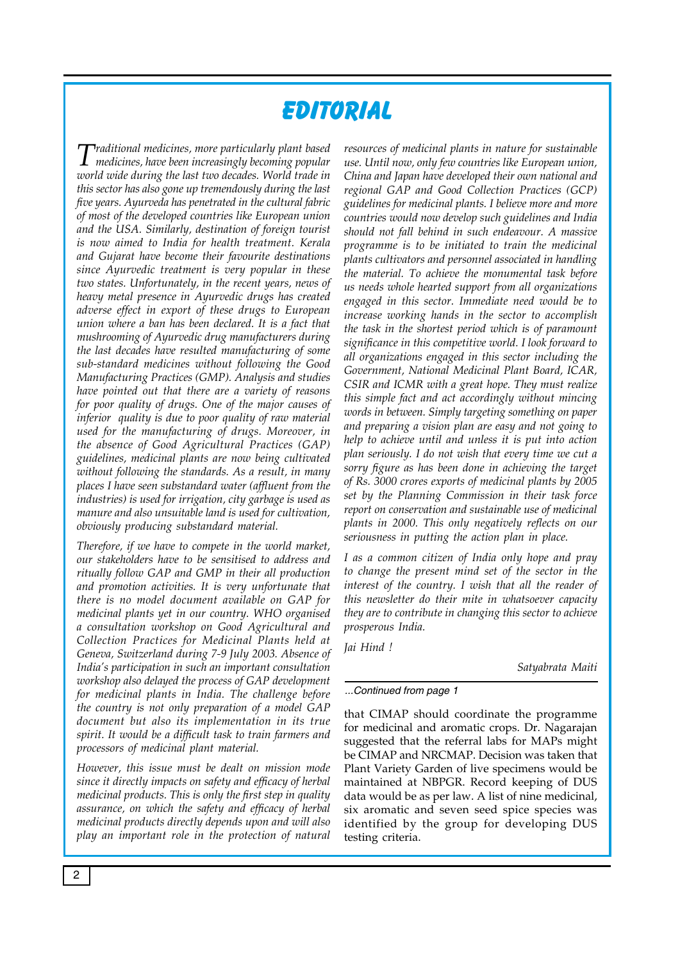# **Editorial**

*Traditional medicines, more particularly plant based medicines, have been increasingly becoming popular world wide during the last two decades. World trade in this sector has also gone up tremendously during the last five years. Ayurveda has penetrated in the cultural fabric of most of the developed countries like European union and the USA. Similarly, destination of foreign tourist is now aimed to India for health treatment. Kerala and Gujarat have become their favourite destinations since Ayurvedic treatment is very popular in these two states. Unfortunately, in the recent years, news of heavy metal presence in Ayurvedic drugs has created adverse effect in export of these drugs to European union where a ban has been declared. It is a fact that mushrooming of Ayurvedic drug manufacturers during the last decades have resulted manufacturing of some sub-standard medicines without following the Good Manufacturing Practices (GMP). Analysis and studies have pointed out that there are a variety of reasons for poor quality of drugs. One of the major causes of inferior quality is due to poor quality of raw material used for the manufacturing of drugs. Moreover, in the absence of Good Agricultural Practices (GAP) guidelines, medicinal plants are now being cultivated without following the standards. As a result, in many places I have seen substandard water (affluent from the industries) is used for irrigation, city garbage is used as manure and also unsuitable land is used for cultivation, obviously producing substandard material.* 

*Therefore, if we have to compete in the world market, our stakeholders have to be sensitised to address and ritually follow GAP and GMP in their all production and promotion activities. It is very unfortunate that there is no model document available on GAP for medicinal plants yet in our country. WHO organised a consultation workshop on Good Agricultural and Collection Practices for Medicinal Plants held at Geneva, Switzerland during 7-9 July 2003. Absence of India's participation in such an important consultation workshop also delayed the process of GAP development for medicinal plants in India. The challenge before the country is not only preparation of a model GAP document but also its implementation in its true spirit. It would be a difficult task to train farmers and processors of medicinal plant material.* 

*However, this issue must be dealt on mission mode since it directly impacts on safety and efficacy of herbal medicinal products. This is only the first step in quality assurance, on which the safety and efficacy of herbal medicinal products directly depends upon and will also play an important role in the protection of natural* 

*resources of medicinal plants in nature for sustainable use. Until now, only few countries like European union, China and Japan have developed their own national and regional GAP and Good Collection Practices (GCP) guidelines for medicinal plants. I believe more and more countries would now develop such guidelines and India should not fall behind in such endeavour. A massive programme is to be initiated to train the medicinal plants cultivators and personnel associated in handling the material. To achieve the monumental task before us needs whole hearted support from all organizations engaged in this sector. Immediate need would be to increase working hands in the sector to accomplish the task in the shortest period which is of paramount significance in this competitive world. I look forward to all organizations engaged in this sector including the Government, National Medicinal Plant Board, ICAR, CSIR and ICMR with a great hope. They must realize this simple fact and act accordingly without mincing words in between. Simply targeting something on paper and preparing a vision plan are easy and not going to help to achieve until and unless it is put into action plan seriously. I do not wish that every time we cut a sorry figure as has been done in achieving the target of Rs. 3000 crores exports of medicinal plants by 2005 set by the Planning Commission in their task force report on conservation and sustainable use of medicinal plants in 2000. This only negatively reflects on our seriousness in putting the action plan in place.* 

*I as a common citizen of India only hope and pray to change the present mind set of the sector in the interest of the country. I wish that all the reader of this newsletter do their mite in whatsoever capacity they are to contribute in changing this sector to achieve prosperous India.* 

*Jai Hind !*

*Satyabrata Maiti*

#### *...Continued from page 1*

that CIMAP should coordinate the programme for medicinal and aromatic crops. Dr. Nagarajan suggested that the referral labs for MAPs might be CIMAP and NRCMAP. Decision was taken that Plant Variety Garden of live specimens would be maintained at NBPGR. Record keeping of DUS data would be as per law. A list of nine medicinal, six aromatic and seven seed spice species was identified by the group for developing DUS testing criteria.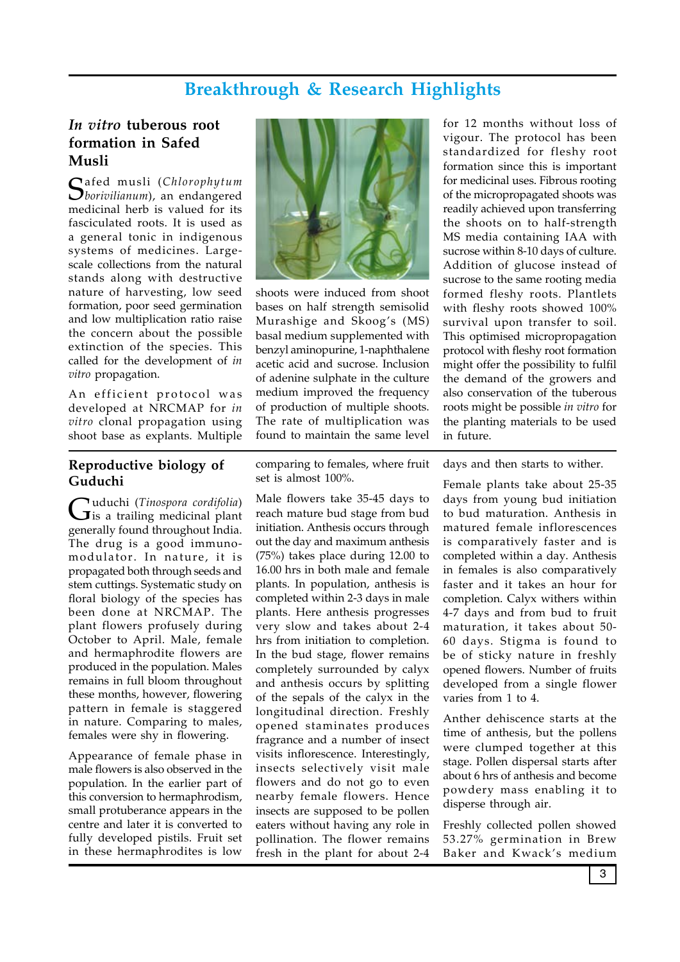# **Breakthrough & Research Highlights**

#### *In vitro* **tuberous root formation in Safed Musli**

Safed musli (*Chlorophytum borivilianum*), an endangered medicinal herb is valued for its fasciculated roots. It is used as a general tonic in indigenous systems of medicines. Largescale collections from the natural stands along with destructive nature of harvesting, low seed formation, poor seed germination and low multiplication ratio raise the concern about the possible extinction of the species. This called for the development of *in vitro* propagation.

An efficient protocol was developed at NRCMAP for *in vitro* clonal propagation using shoot base as explants. Multiple

#### **Reproductive biology of Guduchi**

Guduchi (*Tinospora cordifolia*) is a trailing medicinal plant generally found throughout India. The drug is a good immunomodulator. In nature, it is propagated both through seeds and stem cuttings. Systematic study on floral biology of the species has been done at NRCMAP. The plant flowers profusely during October to April. Male, female and hermaphrodite flowers are produced in the population. Males remains in full bloom throughout these months, however, flowering pattern in female is staggered in nature. Comparing to males, females were shy in flowering.

Appearance of female phase in male flowers is also observed in the population. In the earlier part of this conversion to hermaphrodism, small protuberance appears in the centre and later it is converted to fully developed pistils. Fruit set in these hermaphrodites is low



shoots were induced from shoot bases on half strength semisolid Murashige and Skoog's (MS) basal medium supplemented with benzyl aminopurine, 1-naphthalene acetic acid and sucrose. Inclusion of adenine sulphate in the culture medium improved the frequency of production of multiple shoots. The rate of multiplication was found to maintain the same level

comparing to females, where fruit set is almost 100%.

Male flowers take 35-45 days to reach mature bud stage from bud initiation. Anthesis occurs through out the day and maximum anthesis (75%) takes place during 12.00 to 16.00 hrs in both male and female plants. In population, anthesis is completed within 2-3 days in male plants. Here anthesis progresses very slow and takes about 2-4 hrs from initiation to completion. In the bud stage, flower remains completely surrounded by calyx and anthesis occurs by splitting of the sepals of the calyx in the longitudinal direction. Freshly opened staminates produces fragrance and a number of insect visits inflorescence. Interestingly, insects selectively visit male flowers and do not go to even nearby female flowers. Hence insects are supposed to be pollen eaters without having any role in pollination. The flower remains fresh in the plant for about 2-4

for 12 months without loss of vigour. The protocol has been standardized for fleshy root formation since this is important for medicinal uses. Fibrous rooting of the micropropagated shoots was readily achieved upon transferring the shoots on to half-strength MS media containing IAA with sucrose within 8-10 days of culture. Addition of glucose instead of sucrose to the same rooting media formed fleshy roots. Plantlets with fleshy roots showed 100% survival upon transfer to soil. This optimised micropropagation protocol with fleshy root formation might offer the possibility to fulfil the demand of the growers and also conservation of the tuberous roots might be possible *in vitro* for the planting materials to be used in future.

days and then starts to wither.

Female plants take about 25-35 days from young bud initiation to bud maturation. Anthesis in matured female inflorescences is comparatively faster and is completed within a day. Anthesis in females is also comparatively faster and it takes an hour for completion. Calyx withers within 4-7 days and from bud to fruit maturation, it takes about 50- 60 days. Stigma is found to be of sticky nature in freshly opened flowers. Number of fruits developed from a single flower varies from 1 to 4.

Anther dehiscence starts at the time of anthesis, but the pollens were clumped together at this stage. Pollen dispersal starts after about 6 hrs of anthesis and become powdery mass enabling it to disperse through air.

Freshly collected pollen showed 53.27% germination in Brew Baker and Kwack's medium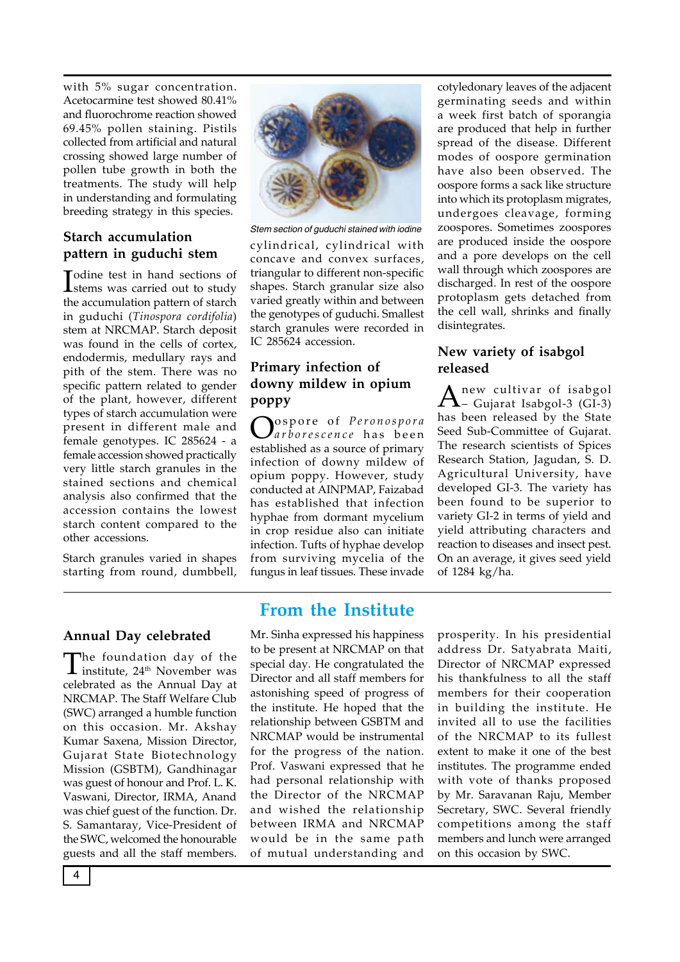with 5% sugar concentration. Acetocarmine test showed 80.41% and fluorochrome reaction showed 69.45% pollen staining. Pistils collected from artificial and natural crossing showed large number of pollen tube growth in both the treatments. The study will help in understanding and formulating breeding strategy in this species.

#### **Starch accumulation pattern in guduchi stem**

In position of the sections of<br>
Internal was carried out to study stems was carried out to study the accumulation pattern of starch in guduchi (*Tinospora cordifolia*) stem at NRCMAP. Starch deposit was found in the cells of cortex, endodermis, medullary rays and pith of the stem. There was no specific pattern related to gender of the plant, however, different types of starch accumulation were present in different male and female genotypes. IC 285624 - a female accession showed practically very little starch granules in the stained sections and chemical analysis also confirmed that the accession contains the lowest starch content compared to the other accessions.

Starch granules varied in shapes starting from round, dumbbell,



*Stem section of guduchi stained with iodine*

cylindrical, cylindrical with concave and convex surfaces, triangular to different non-specific shapes. Starch granular size also varied greatly within and between the genotypes of guduchi. Smallest starch granules were recorded in IC 285624 accession.

#### **Primary infection of downy mildew in opium poppy**

Ospore of *Peronospora arborescence* has been established as a source of primary infection of downy mildew of opium poppy. However, study conducted at AINPMAP, Faizabad has established that infection hyphae from dormant mycelium in crop residue also can initiate infection. Tufts of hyphae develop from surviving mycelia of the fungus in leaf tissues. These invade cotyledonary leaves of the adjacent germinating seeds and within a week first batch of sporangia are produced that help in further spread of the disease. Different modes of oospore germination have also been observed. The oospore forms a sack like structure into which its protoplasm migrates, undergoes cleavage, forming zoospores. Sometimes zoospores are produced inside the oospore and a pore develops on the cell wall through which zoospores are discharged. In rest of the oospore protoplasm gets detached from the cell wall, shrinks and finally disintegrates.

#### **New variety of isabgol released**

 $A$ <sup>new cultivar of isabgol</sup>-3 (GI-3) has been released by the State Seed Sub-Committee of Gujarat. The research scientists of Spices Research Station, Jagudan, S. D. Agricultural University, have developed GI-3. The variety has been found to be superior to variety GI-2 in terms of yield and yield attributing characters and reaction to diseases and insect pest. On an average, it gives seed yield of 1284 kg/ha.

#### **Annual Day celebrated**

The foundation day of the<br>institute, 24<sup>th</sup> November was celebrated as the Annual Day at NRCMAP. The Staff Welfare Club (SWC) arranged a humble function on this occasion. Mr. Akshay Kumar Saxena, Mission Director, Gujarat State Biotechnology Mission (GSBTM), Gandhinagar was guest of honour and Prof. L. K. Vaswani, Director, IRMA, Anand was chief guest of the function. Dr. S. Samantaray, Vice-President of the SWC, welcomed the honourable guests and all the staff members.

## **From the Institute**

Mr. Sinha expressed his happiness to be present at NRCMAP on that special day. He congratulated the Director and all staff members for astonishing speed of progress of the institute. He hoped that the relationship between GSBTM and NRCMAP would be instrumental for the progress of the nation. Prof. Vaswani expressed that he had personal relationship with the Director of the NRCMAP and wished the relationship between IRMA and NRCMAP would be in the same path of mutual understanding and

prosperity. In his presidential address Dr. Satyabrata Maiti, Director of NRCMAP expressed his thankfulness to all the staff members for their cooperation in building the institute. He invited all to use the facilities of the NRCMAP to its fullest extent to make it one of the best institutes. The programme ended with vote of thanks proposed by Mr. Saravanan Raju, Member Secretary, SWC. Several friendly competitions among the staff members and lunch were arranged on this occasion by SWC.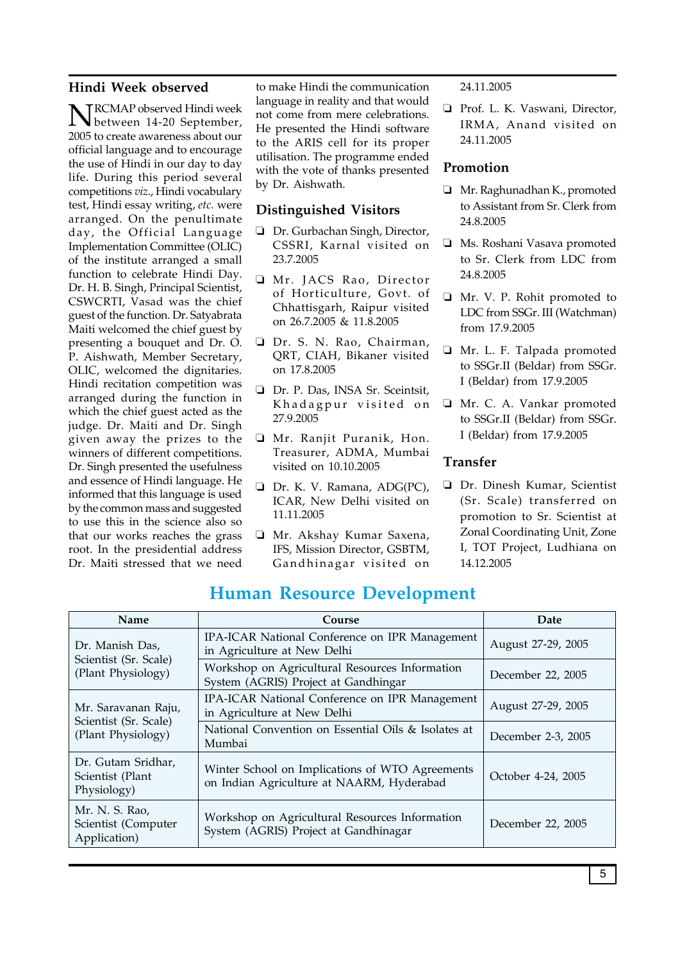#### **Hindi Week observed**

NRCMAP observed Hindi week between 14-20 September, 2005 to create awareness about our official language and to encourage the use of Hindi in our day to day life. During this period several competitions *viz*., Hindi vocabulary test, Hindi essay writing, *etc.* were arranged. On the penultimate day, the Official Language Implementation Committee (OLIC) of the institute arranged a small function to celebrate Hindi Day. Dr. H. B. Singh, Principal Scientist, CSWCRTI, Vasad was the chief guest of the function. Dr. Satyabrata Maiti welcomed the chief guest by presenting a bouquet and Dr. O. P. Aishwath, Member Secretary, OLIC, welcomed the dignitaries. Hindi recitation competition was arranged during the function in which the chief guest acted as the judge. Dr. Maiti and Dr. Singh given away the prizes to the winners of different competitions. Dr. Singh presented the usefulness and essence of Hindi language. He informed that this language is used by the common mass and suggested to use this in the science also so that our works reaches the grass root. In the presidential address Dr. Maiti stressed that we need

to make Hindi the communication language in reality and that would not come from mere celebrations. He presented the Hindi software to the ARIS cell for its proper utilisation. The programme ended with the vote of thanks presented by Dr. Aishwath.

#### **Distinguished Visitors**

- Dr. Gurbachan Singh, Director, CSSRI, Karnal visited on 23.7.2005
- □ Mr. JACS Rao, Director of Horticulture, Govt. of Chhattisgarh, Raipur visited on 26.7.2005 & 11.8.2005
- Dr. S. N. Rao, Chairman, QRT, CIAH, Bikaner visited on 17.8.2005
- Dr. P. Das, INSA Sr. Sceintsit, Khadagpur visited on 27.9.2005
- Mr. Ranjit Puranik, Hon. Treasurer, ADMA, Mumbai visited on 10.10.2005
- Dr. K. V. Ramana, ADG(PC), ICAR, New Delhi visited on 11.11.2005
- Mr. Akshay Kumar Saxena, IFS, Mission Director, GSBTM, Gandhinagar visited on

24.11.2005

Prof. L. K. Vaswani, Director, IRMA, Anand visited on 24.11.2005

#### **Promotion**

- Mr. Raghunadhan K., promoted to Assistant from Sr. Clerk from 24.8.2005
- Ms. Roshani Vasava promoted to Sr. Clerk from LDC from 24.8.2005
- Mr. V. P. Rohit promoted to LDC from SSGr. III (Watchman) from 17.9.2005
- Mr. L. F. Talpada promoted to SSGr.II (Beldar) from SSGr. I (Beldar) from 17.9.2005
- Mr. C. A. Vankar promoted to SSGr.II (Beldar) from SSGr. I (Beldar) from 17.9.2005

#### **Transfer**

Dr. Dinesh Kumar, Scientist (Sr. Scale) transferred on promotion to Sr. Scientist at Zonal Coordinating Unit, Zone I, TOT Project, Ludhiana on 14.12.2005

| Name                                                               | Course                                                                                       | Date               |
|--------------------------------------------------------------------|----------------------------------------------------------------------------------------------|--------------------|
| Dr. Manish Das,<br>Scientist (Sr. Scale)<br>(Plant Physiology)     | IPA-ICAR National Conference on IPR Management<br>in Agriculture at New Delhi                | August 27-29, 2005 |
|                                                                    | Workshop on Agricultural Resources Information<br>System (AGRIS) Project at Gandhingar       | December 22, 2005  |
| Mr. Saravanan Raju,<br>Scientist (Sr. Scale)<br>(Plant Physiology) | IPA-ICAR National Conference on IPR Management<br>in Agriculture at New Delhi                | August 27-29, 2005 |
|                                                                    | National Convention on Essential Oils & Isolates at<br>Mumbai                                | December 2-3, 2005 |
| Dr. Gutam Sridhar,<br>Scientist (Plant<br>Physiology)              | Winter School on Implications of WTO Agreements<br>on Indian Agriculture at NAARM, Hyderabad | October 4-24, 2005 |
| Mr. N. S. Rao,<br>Scientist (Computer<br>Application)              | Workshop on Agricultural Resources Information<br>System (AGRIS) Project at Gandhinagar      | December 22, 2005  |

### **Human Resource Development**